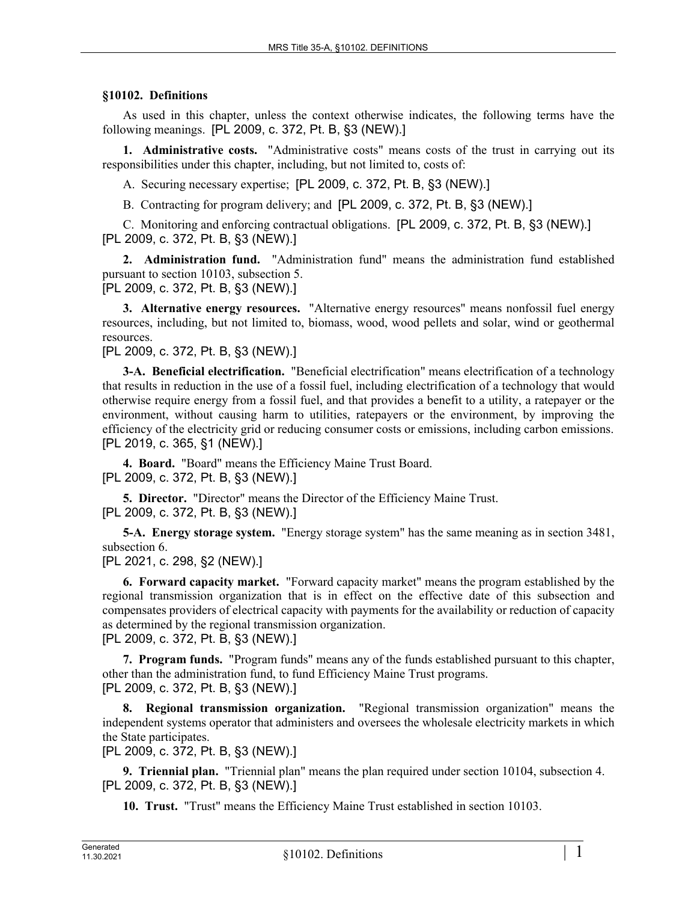## **§10102. Definitions**

As used in this chapter, unless the context otherwise indicates, the following terms have the following meanings. [PL 2009, c. 372, Pt. B, §3 (NEW).]

**1. Administrative costs.** "Administrative costs" means costs of the trust in carrying out its responsibilities under this chapter, including, but not limited to, costs of:

A. Securing necessary expertise; [PL 2009, c. 372, Pt. B, §3 (NEW).]

B. Contracting for program delivery; and [PL 2009, c. 372, Pt. B, §3 (NEW).]

C. Monitoring and enforcing contractual obligations. [PL 2009, c. 372, Pt. B, §3 (NEW).] [PL 2009, c. 372, Pt. B, §3 (NEW).]

**2. Administration fund.** "Administration fund" means the administration fund established pursuant to section 10103, subsection 5.

[PL 2009, c. 372, Pt. B, §3 (NEW).]

**3. Alternative energy resources.** "Alternative energy resources" means nonfossil fuel energy resources, including, but not limited to, biomass, wood, wood pellets and solar, wind or geothermal resources.

[PL 2009, c. 372, Pt. B, §3 (NEW).]

**3-A. Beneficial electrification.** "Beneficial electrification" means electrification of a technology that results in reduction in the use of a fossil fuel, including electrification of a technology that would otherwise require energy from a fossil fuel, and that provides a benefit to a utility, a ratepayer or the environment, without causing harm to utilities, ratepayers or the environment, by improving the efficiency of the electricity grid or reducing consumer costs or emissions, including carbon emissions. [PL 2019, c. 365, §1 (NEW).]

**4. Board.** "Board" means the Efficiency Maine Trust Board. [PL 2009, c. 372, Pt. B, §3 (NEW).]

**5. Director.** "Director" means the Director of the Efficiency Maine Trust. [PL 2009, c. 372, Pt. B, §3 (NEW).]

**5-A. Energy storage system.** "Energy storage system" has the same meaning as in section 3481, subsection 6.

[PL 2021, c. 298, §2 (NEW).]

**6. Forward capacity market.** "Forward capacity market" means the program established by the regional transmission organization that is in effect on the effective date of this subsection and compensates providers of electrical capacity with payments for the availability or reduction of capacity as determined by the regional transmission organization.

[PL 2009, c. 372, Pt. B, §3 (NEW).]

**7. Program funds.** "Program funds" means any of the funds established pursuant to this chapter, other than the administration fund, to fund Efficiency Maine Trust programs. [PL 2009, c. 372, Pt. B, §3 (NEW).]

**8. Regional transmission organization.** "Regional transmission organization" means the independent systems operator that administers and oversees the wholesale electricity markets in which the State participates.

[PL 2009, c. 372, Pt. B, §3 (NEW).]

**9. Triennial plan.** "Triennial plan" means the plan required under section 10104, subsection 4. [PL 2009, c. 372, Pt. B, §3 (NEW).]

**10. Trust.** "Trust" means the Efficiency Maine Trust established in section 10103.